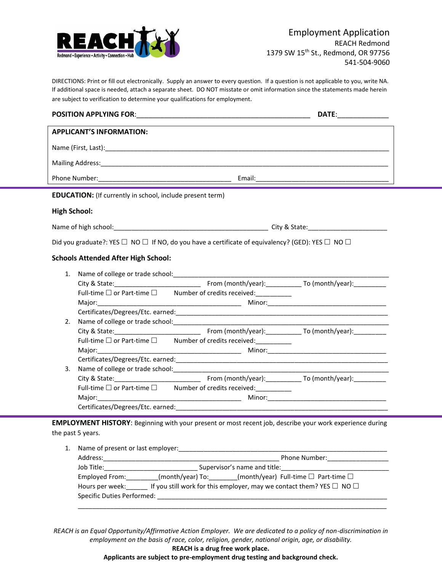

DIRECTIONS: Print or fill out electronically. Supply an answer to every question. If a question is not applicable to you, write NA. If additional space is needed, attach a separate sheet. DO NOT misstate or omit information since the statements made herein are subject to verification to determine your qualifications for employment.

| <b>APPLICANT'S INFORMATION:</b>                                                                                      |  |  |  |  |  |  |
|----------------------------------------------------------------------------------------------------------------------|--|--|--|--|--|--|
|                                                                                                                      |  |  |  |  |  |  |
|                                                                                                                      |  |  |  |  |  |  |
|                                                                                                                      |  |  |  |  |  |  |
| <b>EDUCATION:</b> (If currently in school, include present term)                                                     |  |  |  |  |  |  |
| <b>High School:</b>                                                                                                  |  |  |  |  |  |  |
|                                                                                                                      |  |  |  |  |  |  |
| Did you graduate?: YES $\Box$ NO $\Box$ If NO, do you have a certificate of equivalency? (GED): YES $\Box$ NO $\Box$ |  |  |  |  |  |  |
| <b>Schools Attended After High School:</b>                                                                           |  |  |  |  |  |  |
| 1.                                                                                                                   |  |  |  |  |  |  |
|                                                                                                                      |  |  |  |  |  |  |
| Full-time $\square$ or Part-time $\square$ Number of credits received:                                               |  |  |  |  |  |  |
|                                                                                                                      |  |  |  |  |  |  |
|                                                                                                                      |  |  |  |  |  |  |
| 2.                                                                                                                   |  |  |  |  |  |  |
|                                                                                                                      |  |  |  |  |  |  |
| Full-time □ or Part-time □ Number of credits received:<br>□                                                          |  |  |  |  |  |  |
|                                                                                                                      |  |  |  |  |  |  |
|                                                                                                                      |  |  |  |  |  |  |
| 3.                                                                                                                   |  |  |  |  |  |  |
|                                                                                                                      |  |  |  |  |  |  |
| Full-time $\square$ or Part-time $\square$ Number of credits received:                                               |  |  |  |  |  |  |
|                                                                                                                      |  |  |  |  |  |  |
|                                                                                                                      |  |  |  |  |  |  |
| <b>EMPLOYMENT HISTORY:</b> Beginning with your present or most recent job, describe your work experience during      |  |  |  |  |  |  |

the past 5 years.

| Address:        | Phone Number:                                                                  |
|-----------------|--------------------------------------------------------------------------------|
| Job Title:      | Supervisor's name and title:                                                   |
| Employed From:  | $(month/year)$ To: $(month/year)$ Full-time $\Box$ Part-time $\Box$            |
| Hours per week: | If you still work for this employer, may we contact them? YES $\Box$ NO $\Box$ |

*REACH is an Equal Opportunity/Affirmative Action Employer. We are dedicated to a policy of non-discrimination in employment on the basis of race, color, religion, gender, national origin, age, or disability.*

**REACH is a drug free work place.**

**Applicants are subject to pre-employment drug testing and background check.**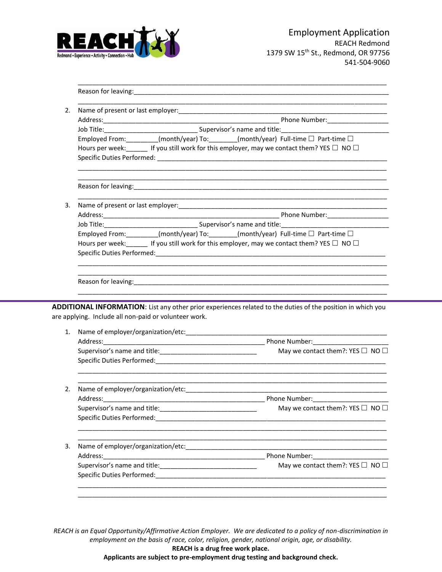

| 2.       | <u> 1980 - Johann John Harry Harry Harry Harry Harry Harry Harry Harry Harry Harry Harry Harry Harry Harry Harry</u>  |                                                                                                                                                                                                               |  |  |  |
|----------|-----------------------------------------------------------------------------------------------------------------------|---------------------------------------------------------------------------------------------------------------------------------------------------------------------------------------------------------------|--|--|--|
|          |                                                                                                                       |                                                                                                                                                                                                               |  |  |  |
|          |                                                                                                                       | Job Title: 1990 Married Marson and Communication of the Communication of the Supervisor's name and title: 1990                                                                                                |  |  |  |
|          | Employed From: ________(month/year) To: _______(month/year) Full-time □ Part-time □                                   |                                                                                                                                                                                                               |  |  |  |
|          | Hours per week: $\Box$ If you still work for this employer, may we contact them? YES $\Box$ NO $\Box$                 |                                                                                                                                                                                                               |  |  |  |
|          |                                                                                                                       |                                                                                                                                                                                                               |  |  |  |
| 3.       | <u> 1989 - Johann Harry Harry Harry Harry Harry Harry Harry Harry Harry Harry Harry Harry Harry Harry Harry Harry</u> |                                                                                                                                                                                                               |  |  |  |
|          |                                                                                                                       |                                                                                                                                                                                                               |  |  |  |
|          |                                                                                                                       |                                                                                                                                                                                                               |  |  |  |
|          |                                                                                                                       | Employed From: _______(month/year) To: ______(month/year) Full-time □ Part-time □                                                                                                                             |  |  |  |
|          | Hours per week: ______ If you still work for this employer, may we contact them? YES □ NO □                           |                                                                                                                                                                                                               |  |  |  |
|          |                                                                                                                       |                                                                                                                                                                                                               |  |  |  |
|          |                                                                                                                       |                                                                                                                                                                                                               |  |  |  |
|          | are applying. Include all non-paid or volunteer work.                                                                 |                                                                                                                                                                                                               |  |  |  |
|          |                                                                                                                       |                                                                                                                                                                                                               |  |  |  |
|          |                                                                                                                       |                                                                                                                                                                                                               |  |  |  |
|          |                                                                                                                       |                                                                                                                                                                                                               |  |  |  |
|          |                                                                                                                       |                                                                                                                                                                                                               |  |  |  |
|          | Address:                                                                                                              | Phone Number:                                                                                                                                                                                                 |  |  |  |
| 1.<br>2. |                                                                                                                       |                                                                                                                                                                                                               |  |  |  |
|          |                                                                                                                       |                                                                                                                                                                                                               |  |  |  |
|          |                                                                                                                       | ADDITIONAL INFORMATION: List any other prior experiences related to the duties of the position in which you<br>May we contact them?: YES $\square$ NO $\square$<br>May we contact them?: YES $\Box$ NO $\Box$ |  |  |  |
| 3.       | Address:                                                                                                              | May we contact them?: YES $\square$ NO $\square$                                                                                                                                                              |  |  |  |

*REACH is an Equal Opportunity/Affirmative Action Employer. We are dedicated to a policy of non-discrimination in employment on the basis of race, color, religion, gender, national origin, age, or disability.*

**REACH is a drug free work place.**

**Applicants are subject to pre-employment drug testing and background check.**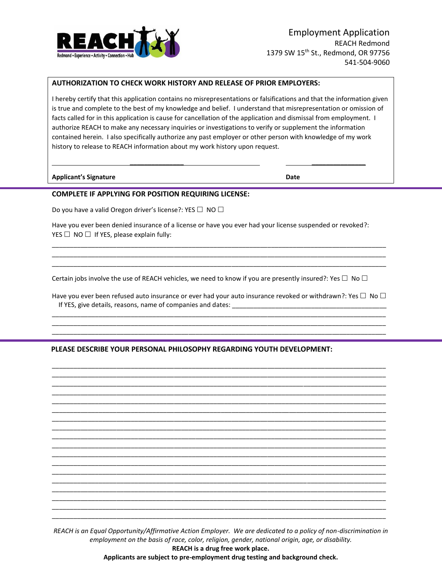

## **AUTHORIZATION TO CHECK WORK HISTORY AND RELEASE OF PRIOR EMPLOYERS:**

I hereby certify that this application contains no misrepresentations or falsifications and that the information given is true and complete to the best of my knowledge and belief. I understand that misrepresentation or omission of facts called for in this application is cause for cancellation of the application and dismissal from employment. I authorize REACH to make any necessary inquiries or investigations to verify or supplement the information contained herein. I also specifically authorize any past employer or other person with knowledge of my work history to release to REACH information about my work history upon request.

**\_\_\_\_\_\_\_\_\_\_\_\_\_\_\_ \_\_\_\_\_\_\_\_\_\_\_\_\_\_\_**

**Applicant's Signature Date**

## **COMPLETE IF APPLYING FOR POSITION REQUIRING LICENSE:**

Do you have a valid Oregon driver's license?: YES  $\Box$  NO  $\Box$ 

Have you ever been denied insurance of a license or have you ever had your license suspended or revoked?: YES  $\Box$  NO  $\Box$  If YES, please explain fully:

\_\_\_\_\_\_\_\_\_\_\_\_\_\_\_\_\_\_\_\_\_\_\_\_\_\_\_\_\_\_\_\_\_\_\_\_\_\_\_\_\_\_\_\_\_\_\_\_\_\_\_\_\_\_\_\_\_\_\_\_\_\_\_\_\_\_\_\_\_\_\_\_\_\_\_\_\_\_\_\_\_\_\_\_\_\_\_\_\_\_\_\_\_ \_\_\_\_\_\_\_\_\_\_\_\_\_\_\_\_\_\_\_\_\_\_\_\_\_\_\_\_\_\_\_\_\_\_\_\_\_\_\_\_\_\_\_\_\_\_\_\_\_\_\_\_\_\_\_\_\_\_\_\_\_\_\_\_\_\_\_\_\_\_\_\_\_\_\_\_\_\_\_\_\_\_\_\_\_\_\_\_\_\_\_\_\_ \_\_\_\_\_\_\_\_\_\_\_\_\_\_\_\_\_\_\_\_\_\_\_\_\_\_\_\_\_\_\_\_\_\_\_\_\_\_\_\_\_\_\_\_\_\_\_\_\_\_\_\_\_\_\_\_\_\_\_\_\_\_\_\_\_\_\_\_\_\_\_\_\_\_\_\_\_\_\_\_\_\_\_\_\_\_\_\_\_\_\_\_\_

Certain jobs involve the use of REACH vehicles, we need to know if you are presently insured?: Yes  $\Box$  No  $\Box$ 

Have you ever been refused auto insurance or ever had your auto insurance revoked or withdrawn?: Yes  $\Box$  No  $\Box$ If YES, give details, reasons, name of companies and dates: \_\_\_\_\_\_\_\_\_\_\_\_\_\_\_\_\_\_\_\_ \_\_\_\_\_\_\_\_\_\_\_\_\_\_\_\_\_\_\_\_\_\_\_\_\_\_\_\_\_\_\_\_\_\_\_\_\_\_\_\_\_\_\_\_\_\_\_\_\_\_\_\_\_\_\_\_\_\_\_\_\_\_\_\_\_\_\_\_\_\_\_\_\_\_\_\_\_\_\_\_\_\_\_\_\_\_\_\_\_\_\_\_\_

\_\_\_\_\_\_\_\_\_\_\_\_\_\_\_\_\_\_\_\_\_\_\_\_\_\_\_\_\_\_\_\_\_\_\_\_\_\_\_\_\_\_\_\_\_\_\_\_\_\_\_\_\_\_\_\_\_\_\_\_\_\_\_\_\_\_\_\_\_\_\_\_\_\_\_\_\_\_\_\_\_\_\_\_\_\_\_\_\_\_\_\_\_ \_\_\_\_\_\_\_\_\_\_\_\_\_\_\_\_\_\_\_\_\_\_\_\_\_\_\_\_\_\_\_\_\_\_\_\_\_\_\_\_\_\_\_\_\_\_\_\_\_\_\_\_\_\_\_\_\_\_\_\_\_\_\_\_\_\_\_\_\_\_\_\_\_\_\_\_\_\_\_\_\_\_\_\_\_\_\_\_\_\_\_\_\_

\_\_\_\_\_\_\_\_\_\_\_\_\_\_\_\_\_\_\_\_\_\_\_\_\_\_\_\_\_\_\_\_\_\_\_\_\_\_\_\_\_\_\_\_\_\_\_\_\_\_\_\_\_\_\_\_\_\_\_\_\_\_\_\_\_\_\_\_\_\_\_\_\_\_\_\_\_\_\_\_\_\_\_\_\_\_\_\_\_\_\_\_\_ \_\_\_\_\_\_\_\_\_\_\_\_\_\_\_\_\_\_\_\_\_\_\_\_\_\_\_\_\_\_\_\_\_\_\_\_\_\_\_\_\_\_\_\_\_\_\_\_\_\_\_\_\_\_\_\_\_\_\_\_\_\_\_\_\_\_\_\_\_\_\_\_\_\_\_\_\_\_\_\_\_\_\_\_\_\_\_\_\_\_\_\_\_ \_\_\_\_\_\_\_\_\_\_\_\_\_\_\_\_\_\_\_\_\_\_\_\_\_\_\_\_\_\_\_\_\_\_\_\_\_\_\_\_\_\_\_\_\_\_\_\_\_\_\_\_\_\_\_\_\_\_\_\_\_\_\_\_\_\_\_\_\_\_\_\_\_\_\_\_\_\_\_\_\_\_\_\_\_\_\_\_\_\_\_\_\_ \_\_\_\_\_\_\_\_\_\_\_\_\_\_\_\_\_\_\_\_\_\_\_\_\_\_\_\_\_\_\_\_\_\_\_\_\_\_\_\_\_\_\_\_\_\_\_\_\_\_\_\_\_\_\_\_\_\_\_\_\_\_\_\_\_\_\_\_\_\_\_\_\_\_\_\_\_\_\_\_\_\_\_\_\_\_\_\_\_\_\_\_\_ \_\_\_\_\_\_\_\_\_\_\_\_\_\_\_\_\_\_\_\_\_\_\_\_\_\_\_\_\_\_\_\_\_\_\_\_\_\_\_\_\_\_\_\_\_\_\_\_\_\_\_\_\_\_\_\_\_\_\_\_\_\_\_\_\_\_\_\_\_\_\_\_\_\_\_\_\_\_\_\_\_\_\_\_\_\_\_\_\_\_\_\_\_ \_\_\_\_\_\_\_\_\_\_\_\_\_\_\_\_\_\_\_\_\_\_\_\_\_\_\_\_\_\_\_\_\_\_\_\_\_\_\_\_\_\_\_\_\_\_\_\_\_\_\_\_\_\_\_\_\_\_\_\_\_\_\_\_\_\_\_\_\_\_\_\_\_\_\_\_\_\_\_\_\_\_\_\_\_\_\_\_\_\_\_\_\_ \_\_\_\_\_\_\_\_\_\_\_\_\_\_\_\_\_\_\_\_\_\_\_\_\_\_\_\_\_\_\_\_\_\_\_\_\_\_\_\_\_\_\_\_\_\_\_\_\_\_\_\_\_\_\_\_\_\_\_\_\_\_\_\_\_\_\_\_\_\_\_\_\_\_\_\_\_\_\_\_\_\_\_\_\_\_\_\_\_\_\_\_\_ \_\_\_\_\_\_\_\_\_\_\_\_\_\_\_\_\_\_\_\_\_\_\_\_\_\_\_\_\_\_\_\_\_\_\_\_\_\_\_\_\_\_\_\_\_\_\_\_\_\_\_\_\_\_\_\_\_\_\_\_\_\_\_\_\_\_\_\_\_\_\_\_\_\_\_\_\_\_\_\_\_\_\_\_\_\_\_\_\_\_\_\_\_ \_\_\_\_\_\_\_\_\_\_\_\_\_\_\_\_\_\_\_\_\_\_\_\_\_\_\_\_\_\_\_\_\_\_\_\_\_\_\_\_\_\_\_\_\_\_\_\_\_\_\_\_\_\_\_\_\_\_\_\_\_\_\_\_\_\_\_\_\_\_\_\_\_\_\_\_\_\_\_\_\_\_\_\_\_\_\_\_\_\_\_\_\_ \_\_\_\_\_\_\_\_\_\_\_\_\_\_\_\_\_\_\_\_\_\_\_\_\_\_\_\_\_\_\_\_\_\_\_\_\_\_\_\_\_\_\_\_\_\_\_\_\_\_\_\_\_\_\_\_\_\_\_\_\_\_\_\_\_\_\_\_\_\_\_\_\_\_\_\_\_\_\_\_\_\_\_\_\_\_\_\_\_\_\_\_\_ \_\_\_\_\_\_\_\_\_\_\_\_\_\_\_\_\_\_\_\_\_\_\_\_\_\_\_\_\_\_\_\_\_\_\_\_\_\_\_\_\_\_\_\_\_\_\_\_\_\_\_\_\_\_\_\_\_\_\_\_\_\_\_\_\_\_\_\_\_\_\_\_\_\_\_\_\_\_\_\_\_\_\_\_\_\_\_\_\_\_\_\_\_ \_\_\_\_\_\_\_\_\_\_\_\_\_\_\_\_\_\_\_\_\_\_\_\_\_\_\_\_\_\_\_\_\_\_\_\_\_\_\_\_\_\_\_\_\_\_\_\_\_\_\_\_\_\_\_\_\_\_\_\_\_\_\_\_\_\_\_\_\_\_\_\_\_\_\_\_\_\_\_\_\_\_\_\_\_\_\_\_\_\_\_\_\_ \_\_\_\_\_\_\_\_\_\_\_\_\_\_\_\_\_\_\_\_\_\_\_\_\_\_\_\_\_\_\_\_\_\_\_\_\_\_\_\_\_\_\_\_\_\_\_\_\_\_\_\_\_\_\_\_\_\_\_\_\_\_\_\_\_\_\_\_\_\_\_\_\_\_\_\_\_\_\_\_\_\_\_\_\_\_\_\_\_\_\_\_\_ \_\_\_\_\_\_\_\_\_\_\_\_\_\_\_\_\_\_\_\_\_\_\_\_\_\_\_\_\_\_\_\_\_\_\_\_\_\_\_\_\_\_\_\_\_\_\_\_\_\_\_\_\_\_\_\_\_\_\_\_\_\_\_\_\_\_\_\_\_\_\_\_\_\_\_\_\_\_\_\_\_\_\_\_\_\_\_\_\_\_\_\_\_ \_\_\_\_\_\_\_\_\_\_\_\_\_\_\_\_\_\_\_\_\_\_\_\_\_\_\_\_\_\_\_\_\_\_\_\_\_\_\_\_\_\_\_\_\_\_\_\_\_\_\_\_\_\_\_\_\_\_\_\_\_\_\_\_\_\_\_\_\_\_\_\_\_\_\_\_\_\_\_\_\_\_\_\_\_\_\_\_\_\_\_\_\_ \_\_\_\_\_\_\_\_\_\_\_\_\_\_\_\_\_\_\_\_\_\_\_\_\_\_\_\_\_\_\_\_\_\_\_\_\_\_\_\_\_\_\_\_\_\_\_\_\_\_\_\_\_\_\_\_\_\_\_\_\_\_\_\_\_\_\_\_\_\_\_\_\_\_\_\_\_\_\_\_\_\_\_\_\_\_\_\_\_\_\_\_\_ \_\_\_\_\_\_\_\_\_\_\_\_\_\_\_\_\_\_\_\_\_\_\_\_\_\_\_\_\_\_\_\_\_\_\_\_\_\_\_\_\_\_\_\_\_\_\_\_\_\_\_\_\_\_\_\_\_\_\_\_\_\_\_\_\_\_\_\_\_\_\_\_\_\_\_\_\_\_\_\_\_\_\_\_\_\_\_\_\_\_\_\_\_ \_\_\_\_\_\_\_\_\_\_\_\_\_\_\_\_\_\_\_\_\_\_\_\_\_\_\_\_\_\_\_\_\_\_\_\_\_\_\_\_\_\_\_\_\_\_\_\_\_\_\_\_\_\_\_\_\_\_\_\_\_\_\_\_\_\_\_\_\_\_\_\_\_\_\_\_\_\_\_\_\_\_\_\_\_\_\_\_\_\_\_\_\_

## **PLEASE DESCRIBE YOUR PERSONAL PHILOSOPHY REGARDING YOUTH DEVELOPMENT:**

*REACH is an Equal Opportunity/Affirmative Action Employer. We are dedicated to a policy of non-discrimination in employment on the basis of race, color, religion, gender, national origin, age, or disability.*

> **REACH is a drug free work place. Applicants are subject to pre-employment drug testing and background check.**